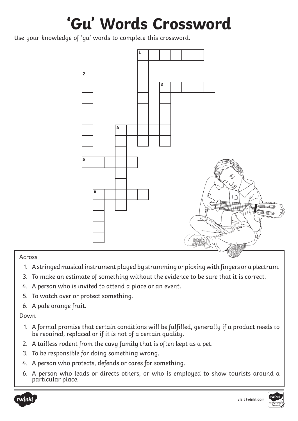## **'Gu' Words Crossword**

Use your knowledge of 'gu' words to complete this crossword.



Across

- 1. A stringed musical instrument played by strumming or picking with fingers or a plectrum.
- 3. To make an estimate of something without the evidence to be sure that it is correct.
- 4. A person who is invited to attend a place or an event.
- 5. To watch over or protect something.
- 6. A pale orange fruit.

Down

- 1. A formal promise that certain conditions will be fulfilled, generally if a product needs to be repaired, replaced or if it is not of a certain quality.
- 2. A tailless rodent from the cavy family that is often kept as a pet.
- 3. To be responsible for doing something wrong.
- 4. A person who protects, defends or cares for something.
- 6. A person who leads or directs others, or who is employed to show tourists around a particular place.